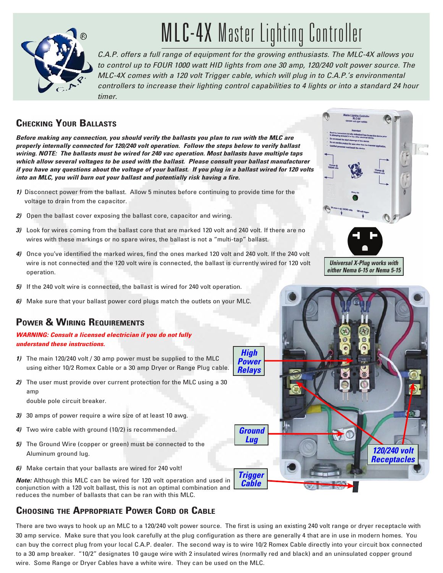

# MLC-4X Master Lighting Controller

*C.A.P. offers a full range of equipment for the growing enthusiasts. The MLC-4X allows you to control up to FOUR 1000 watt HID lights from one 30 amp, 120/240 volt power source. The MLC-4X comes with a 120 volt Trigger cable, which will plug in to C.A.P.'s environmental controllers to increase their lighting control capabilities to 4 lights or into a standard 24 hour timer.*

## **Checking Your Ballasts**

*Before making any connection, you should verify the ballasts you plan to run with the MLC are properly internally connected for 120/240 volt operation. Follow the steps below to verify ballast wiring. NOTE: The ballasts must be wired for 240 vac operation. Most ballasts have multiple taps which allow several voltages to be used with the ballast. Please consult your ballast manufacturer if you have any questions about the voltage of your ballast. If you plug in a ballast wired for 120 volts into an MLC, you will burn out your ballast and potentially risk having a fire.*

- *1)* Disconnect power from the ballast. Allow 5 minutes before continuing to provide time for the voltage to drain from the capacitor.
- *2)* Open the ballast cover exposing the ballast core, capacitor and wiring.
- *3)* Look for wires coming from the ballast core that are marked 120 volt and 240 volt. If there are no wires with these markings or no spare wires, the ballast is not a "multi-tap" ballast.
- *4)* Once you've identified the marked wires, find the ones marked 120 volt and 240 volt. If the 240 volt wire is not connected and the 120 volt wire is connected, the ballast is currently wired for 120 volt operation.
- *5)* If the 240 volt wire is connected, the ballast is wired for 240 volt operation.
- *6)* Make sure that your ballast power cord plugs match the outlets on your MLC.

# **POWER & WIRING REQUIREMENTS**

#### *WARNING: Consult a licensed electrician if you do not fully understand these instructions.*

- *1)* The main 120/240 volt / 30 amp power must be supplied to the MLC using either 10/2 Romex Cable or a 30 amp Dryer or Range Plug cable.
- *2)* The user must provide over current protection for the MLC using a 30 amp double pole circuit breaker.
- *3)*30 amps of power require a wire size of at least 10 awg.
- *4)* Two wire cable with ground (10/2) is recommended.
- *5)* The Ground Wire (copper or green) must be connected to the Aluminum ground lug.
- *6)* Make certain that your ballasts are wired for 240 volt!

*Note:* Although this MLC can be wired for 120 volt operation and used in conjunction with a 120 volt ballast, this is not an optimal combination and reduces the number of ballasts that can be ran with this MLC.

# **Choosing the Appropriate Power Cord or Cable**

There are two ways to hook up an MLC to a 120/240 volt power source. The first is using an existing 240 volt range or dryer receptacle with 30 amp service. Make sure that you look carefully at the plug configuration as there are generally 4 that are in use in modern homes. You can buy the correct plug from your local C.A.P. dealer. The second way is to wire 10/2 Romex Cable directly into your circuit box connected to a 30 amp breaker. "10/2" designates 10 gauge wire with 2 insulated wires (normally red and black) and an uninsulated copper ground wire. Some Range or Dryer Cables have a white wire. They can be used on the MLC.



*Universal X-Plug works with either Nema 6-15 or Nema 5-15*